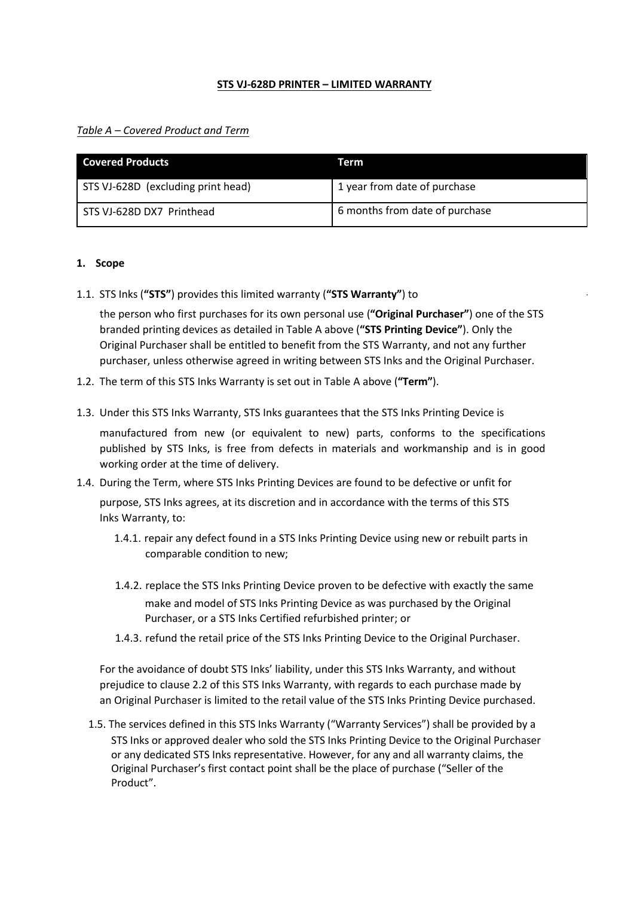### **STS VJ-628D PRINTER – LIMITED WARRANTY**

*Table A – Covered Product and Term*

| <b>Covered Products</b>            | Term                           |
|------------------------------------|--------------------------------|
| STS VJ-628D (excluding print head) | 1 year from date of purchase   |
| STS VJ-628D DX7 Printhead          | 6 months from date of purchase |

#### **1. Scope**

1.1. STS Inks (**"STS"**) provides this limited warranty (**"STS Warranty"**) to

the person who first purchases for its own personal use (**"Original Purchaser"**) one of the STS branded printing devices as detailed in Table A above (**"STS Printing Device"**). Only the Original Purchaser shall be entitled to benefit from the STS Warranty, and not any further purchaser, unless otherwise agreed in writing between STS Inks and the Original Purchaser.

- 1.2. The term of this STS Inks Warranty is set out in Table A above (**"Term"**).
- 1.3. Under this STS Inks Warranty, STS Inks guarantees that the STS Inks Printing Device is

manufactured from new (or equivalent to new) parts, conforms to the specifications published by STS Inks, is free from defects in materials and workmanship and is in good working order at the time of delivery.

- 1.4. During the Term, where STS Inks Printing Devices are found to be defective or unfit for purpose, STS Inks agrees, at its discretion and in accordance with the terms of this STS Inks Warranty, to:
	- 1.4.1. repair any defect found in a STS Inks Printing Device using new or rebuilt parts in comparable condition to new;
	- 1.4.2. replace the STS Inks Printing Device proven to be defective with exactly the same make and model of STS Inks Printing Device as was purchased by the Original Purchaser, or a STS Inks Certified refurbished printer; or
	- 1.4.3. refund the retail price of the STS Inks Printing Device to the Original Purchaser.

For the avoidance of doubt STS Inks' liability, under this STS Inks Warranty, and without prejudice to clause 2.2 of this STS Inks Warranty, with regards to each purchase made by an Original Purchaser is limited to the retail value of the STS Inks Printing Device purchased.

1.5. The services defined in this STS Inks Warranty ("Warranty Services") shall be provided by a STS Inks or approved dealer who sold the STS Inks Printing Device to the Original Purchaser or any dedicated STS Inks representative. However, for any and all warranty claims, the Original Purchaser's first contact point shall be the place of purchase ("Seller of the Product".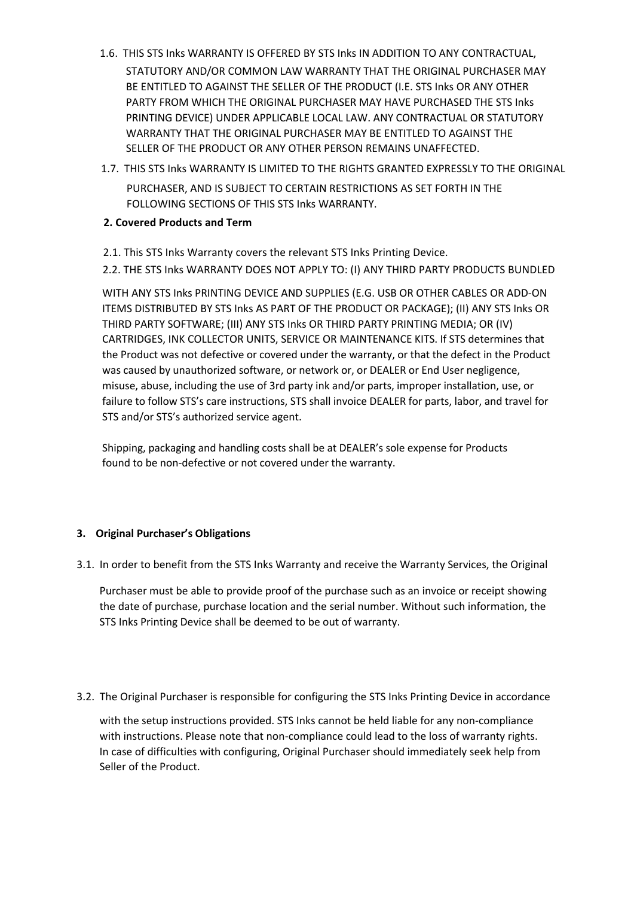- 1.6. THIS STS Inks WARRANTY IS OFFERED BY STS Inks IN ADDITION TO ANY CONTRACTUAL, STATUTORY AND/OR COMMON LAW WARRANTY THAT THE ORIGINAL PURCHASER MAY BE ENTITLED TO AGAINST THE SELLER OF THE PRODUCT (I.E. STS Inks OR ANY OTHER PARTY FROM WHICH THE ORIGINAL PURCHASER MAY HAVE PURCHASED THE STS Inks PRINTING DEVICE) UNDER APPLICABLE LOCAL LAW. ANY CONTRACTUAL OR STATUTORY WARRANTY THAT THE ORIGINAL PURCHASER MAY BE ENTITLED TO AGAINST THE SELLER OF THE PRODUCT OR ANY OTHER PERSON REMAINS UNAFFECTED.
- 1.7. THIS STS Inks WARRANTY IS LIMITED TO THE RIGHTS GRANTED EXPRESSLY TO THE ORIGINAL PURCHASER, AND IS SUBJECT TO CERTAIN RESTRICTIONS AS SET FORTH IN THE FOLLOWING SECTIONS OF THIS STS Inks WARRANTY.

# **2. Covered Products and Term**

- 2.1. This STS Inks Warranty covers the relevant STS Inks Printing Device.
- 2.2. THE STS Inks WARRANTY DOES NOT APPLY TO: (I) ANY THIRD PARTY PRODUCTS BUNDLED

WITH ANY STS Inks PRINTING DEVICE AND SUPPLIES (E.G. USB OR OTHER CABLES OR ADD-ON ITEMS DISTRIBUTED BY STS Inks AS PART OF THE PRODUCT OR PACKAGE); (II) ANY STS Inks OR THIRD PARTY SOFTWARE; (III) ANY STS Inks OR THIRD PARTY PRINTING MEDIA; OR (IV) CARTRIDGES, INK COLLECTOR UNITS, SERVICE OR MAINTENANCE KITS. If STS determines that the Product was not defective or covered under the warranty, or that the defect in the Product was caused by unauthorized software, or network or, or DEALER or End User negligence, misuse, abuse, including the use of 3rd party ink and/or parts, improper installation, use, or failure to follow STS's care instructions, STS shall invoice DEALER for parts, labor, and travel for STS and/or STS's authorized service agent.

Shipping, packaging and handling costs shall be at DEALER's sole expense for Products found to be non-defective or not covered under the warranty.

# **3. Original Purchaser's Obligations**

3.1. In order to benefit from the STS Inks Warranty and receive the Warranty Services, the Original

Purchaser must be able to provide proof of the purchase such as an invoice or receipt showing the date of purchase, purchase location and the serial number. Without such information, the STS Inks Printing Device shall be deemed to be out of warranty.

3.2. The Original Purchaser is responsible for configuring the STS Inks Printing Device in accordance

with the setup instructions provided. STS Inks cannot be held liable for any non-compliance with instructions. Please note that non-compliance could lead to the loss of warranty rights. In case of difficulties with configuring, Original Purchaser should immediately seek help from Seller of the Product.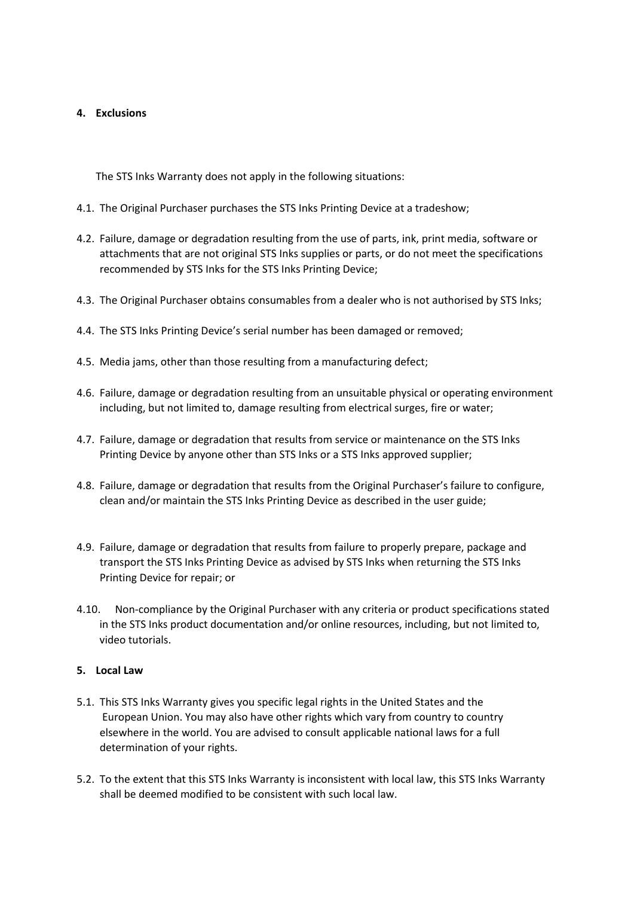## **4. Exclusions**

The STS Inks Warranty does not apply in the following situations:

- 4.1. The Original Purchaser purchases the STS Inks Printing Device at a tradeshow;
- 4.2. Failure, damage or degradation resulting from the use of parts, ink, print media, software or attachments that are not original STS Inks supplies or parts, or do not meet the specifications recommended by STS Inks for the STS Inks Printing Device;
- 4.3. The Original Purchaser obtains consumables from a dealer who is not authorised by STS Inks;
- 4.4. The STS Inks Printing Device's serial number has been damaged or removed;
- 4.5. Media jams, other than those resulting from a manufacturing defect;
- 4.6. Failure, damage or degradation resulting from an unsuitable physical or operating environment including, but not limited to, damage resulting from electrical surges, fire or water;
- 4.7. Failure, damage or degradation that results from service or maintenance on the STS Inks Printing Device by anyone other than STS Inks or a STS Inks approved supplier;
- 4.8. Failure, damage or degradation that results from the Original Purchaser's failure to configure, clean and/or maintain the STS Inks Printing Device as described in the user guide;
- 4.9. Failure, damage or degradation that results from failure to properly prepare, package and transport the STS Inks Printing Device as advised by STS Inks when returning the STS Inks Printing Device for repair; or
- 4.10. Non-compliance by the Original Purchaser with any criteria or product specifications stated in the STS Inks product documentation and/or online resources, including, but not limited to, video tutorials.

### **5. Local Law**

- 5.1. This STS Inks Warranty gives you specific legal rights in the United States and the European Union. You may also have other rights which vary from country to country elsewhere in the world. You are advised to consult applicable national laws for a full determination of your rights.
- 5.2. To the extent that this STS Inks Warranty is inconsistent with local law, this STS Inks Warranty shall be deemed modified to be consistent with such local law.